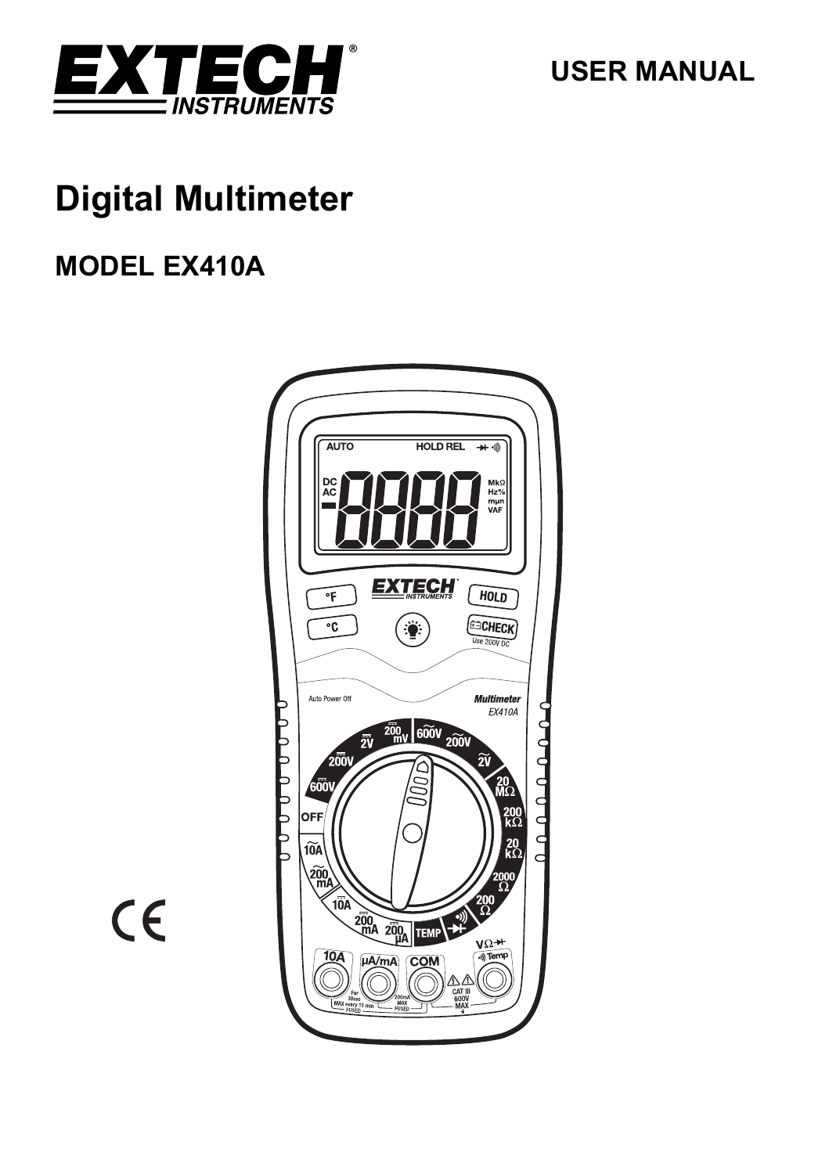

**USER MANUAL** 

# **Digital Multimeter**

## **MODEL EX410A**



$$
\overline{\mathsf{CE}}
$$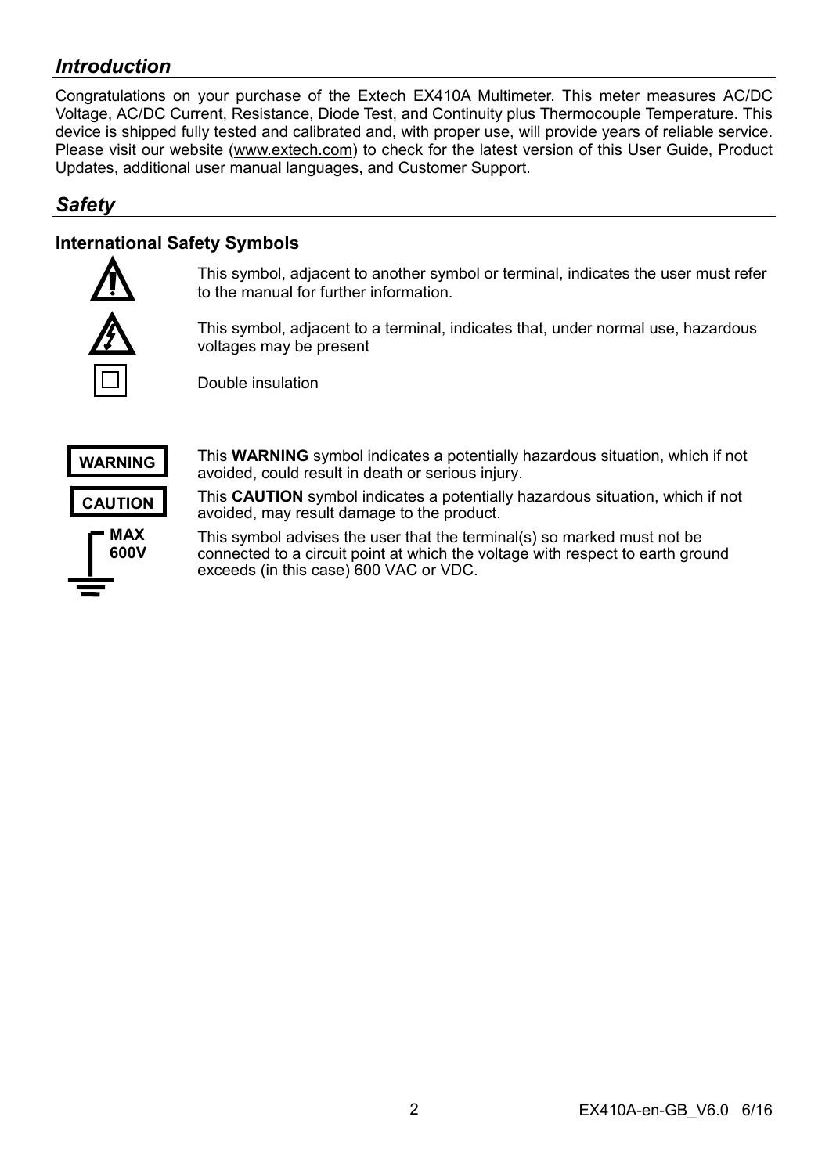## *Introduction*

Congratulations on your purchase of the Extech EX410A Multimeter. This meter measures AC/DC Voltage, AC/DC Current, Resistance, Diode Test, and Continuity plus Thermocouple Temperature. This device is shipped fully tested and calibrated and, with proper use, will provide years of reliable service. Please visit our website (www.extech.com) to check for the latest version of this User Guide, Product Updates, additional user manual languages, and Customer Support.

## *Safety*

## **International Safety Symbols**



This symbol, adjacent to another symbol or terminal, indicates the user must refer to the manual for further information.

This symbol, adjacent to a terminal, indicates that, under normal use, hazardous voltages may be present

Double insulation



This **WARNING** symbol indicates a potentially hazardous situation, which if not avoided, could result in death or serious injury.

This **CAUTION** symbol indicates a potentially hazardous situation, which if not avoided, may result damage to the product.

This symbol advises the user that the terminal(s) so marked must not be connected to a circuit point at which the voltage with respect to earth ground exceeds (in this case) 600 VAC or VDC.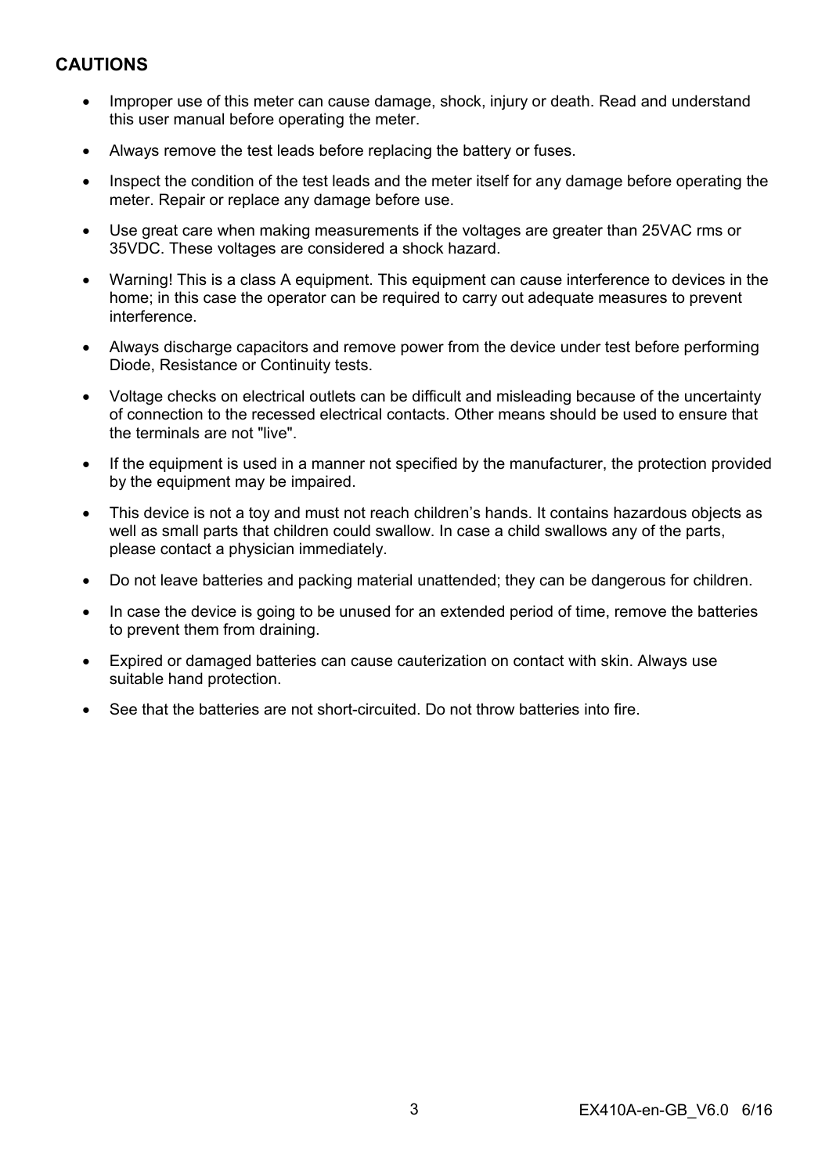## **CAUTIONS**

- Improper use of this meter can cause damage, shock, injury or death. Read and understand this user manual before operating the meter.
- Always remove the test leads before replacing the battery or fuses.
- Inspect the condition of the test leads and the meter itself for any damage before operating the meter. Repair or replace any damage before use.
- Use great care when making measurements if the voltages are greater than 25VAC rms or 35VDC. These voltages are considered a shock hazard.
- Warning! This is a class A equipment. This equipment can cause interference to devices in the home; in this case the operator can be required to carry out adequate measures to prevent interference.
- Always discharge capacitors and remove power from the device under test before performing Diode, Resistance or Continuity tests.
- Voltage checks on electrical outlets can be difficult and misleading because of the uncertainty of connection to the recessed electrical contacts. Other means should be used to ensure that the terminals are not "live".
- If the equipment is used in a manner not specified by the manufacturer, the protection provided by the equipment may be impaired.
- This device is not a toy and must not reach children's hands. It contains hazardous objects as well as small parts that children could swallow. In case a child swallows any of the parts, please contact a physician immediately.
- Do not leave batteries and packing material unattended; they can be dangerous for children.
- In case the device is going to be unused for an extended period of time, remove the batteries to prevent them from draining.
- Expired or damaged batteries can cause cauterization on contact with skin. Always use suitable hand protection.
- See that the batteries are not short-circuited. Do not throw batteries into fire.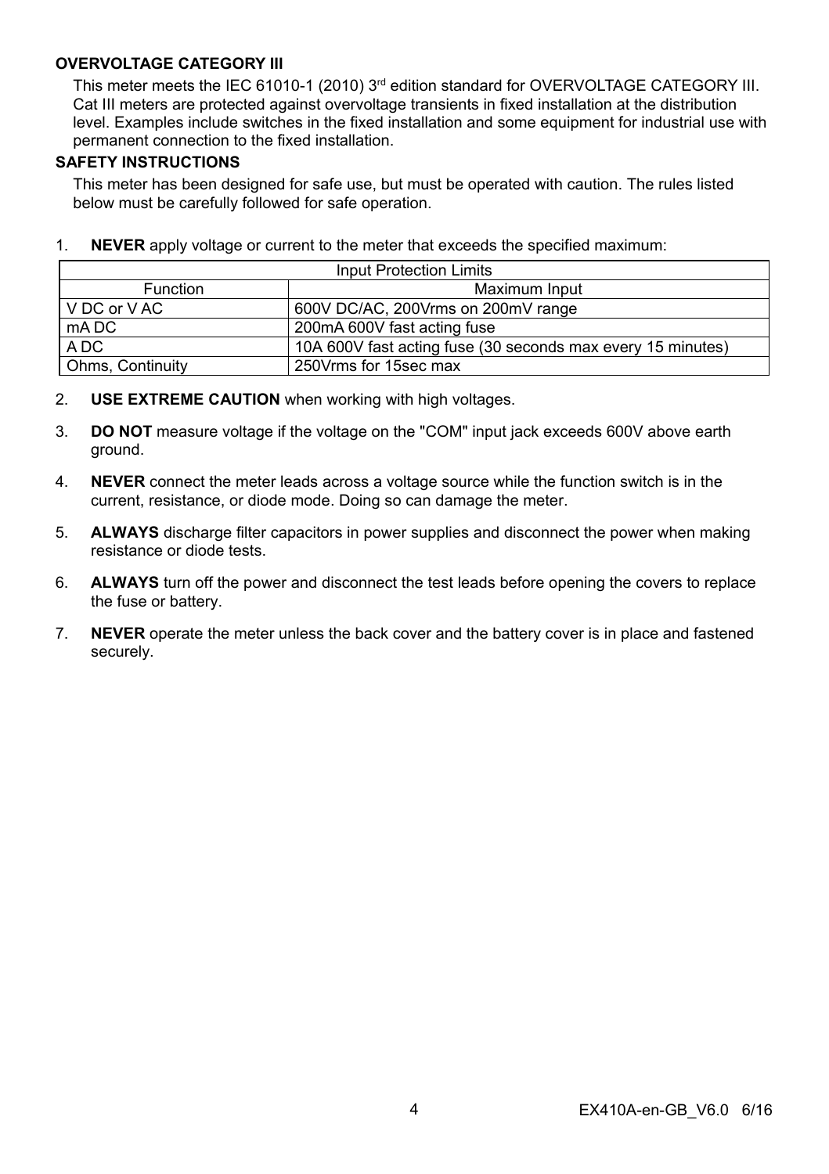#### **OVERVOLTAGE CATEGORY III**

This meter meets the IEC 61010-1 (2010)  $3<sup>rd</sup>$  edition standard for OVERVOLTAGE CATEGORY III. Cat III meters are protected against overvoltage transients in fixed installation at the distribution level. Examples include switches in the fixed installation and some equipment for industrial use with permanent connection to the fixed installation.

#### **SAFETY INSTRUCTIONS**

This meter has been designed for safe use, but must be operated with caution. The rules listed below must be carefully followed for safe operation.

1. **NEVER** apply voltage or current to the meter that exceeds the specified maximum:

| Input Protection Limits |                                                             |  |  |
|-------------------------|-------------------------------------------------------------|--|--|
| <b>Function</b>         | Maximum Input                                               |  |  |
| IVDC or VAC             | 600V DC/AC, 200Vrms on 200mV range                          |  |  |
| mA DC                   | 200mA 600V fast acting fuse                                 |  |  |
| A DC                    | 10A 600V fast acting fuse (30 seconds max every 15 minutes) |  |  |
| <b>Ohms, Continuity</b> | 250Vrms for 15sec max                                       |  |  |

- 2. **USE EXTREME CAUTION** when working with high voltages.
- 3. **DO NOT** measure voltage if the voltage on the "COM" input jack exceeds 600V above earth ground.
- 4. **NEVER** connect the meter leads across a voltage source while the function switch is in the current, resistance, or diode mode. Doing so can damage the meter.
- 5. **ALWAYS** discharge filter capacitors in power supplies and disconnect the power when making resistance or diode tests.
- 6. **ALWAYS** turn off the power and disconnect the test leads before opening the covers to replace the fuse or battery.
- 7. **NEVER** operate the meter unless the back cover and the battery cover is in place and fastened securely.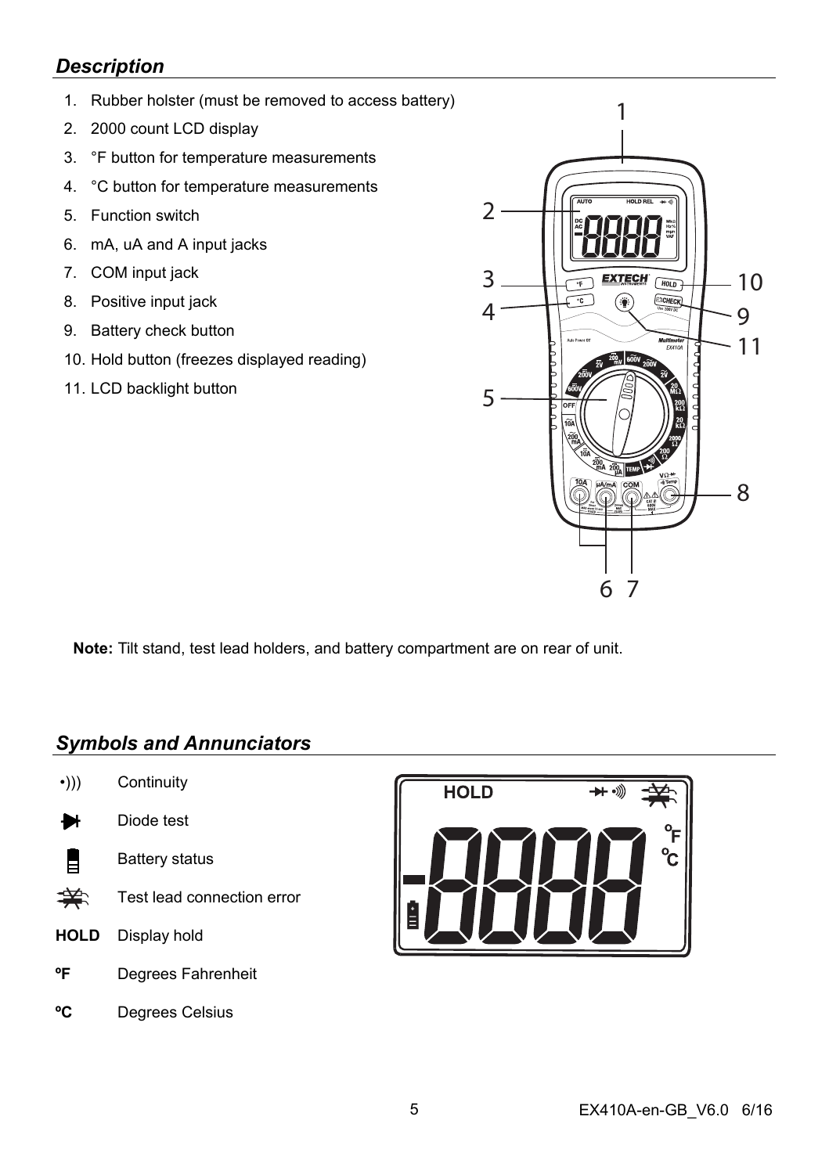## *Description*

- 1. Rubber holster (must be removed to access battery)
- 2. 2000 count LCD display
- 3. °F button for temperature measurements
- 4. °C button for temperature measurements
- 5. Function switch
- 6. mA, uA and A input jacks
- 7. COM input jack
- 8. Positive input jack
- 9. Battery check button
- 10. Hold button (freezes displayed reading)
- 11. LCD backlight button



**Note:** Tilt stand, test lead holders, and battery compartment are on rear of unit.

## *Symbols and Annunciators*

- •))) Continuity
- ₩ Diode test
- ₿ Battery status
- 美. Test lead connection error
- **HOLD** Display hold
- **ºF** Degrees Fahrenheit
- **ºC** Degrees Celsius

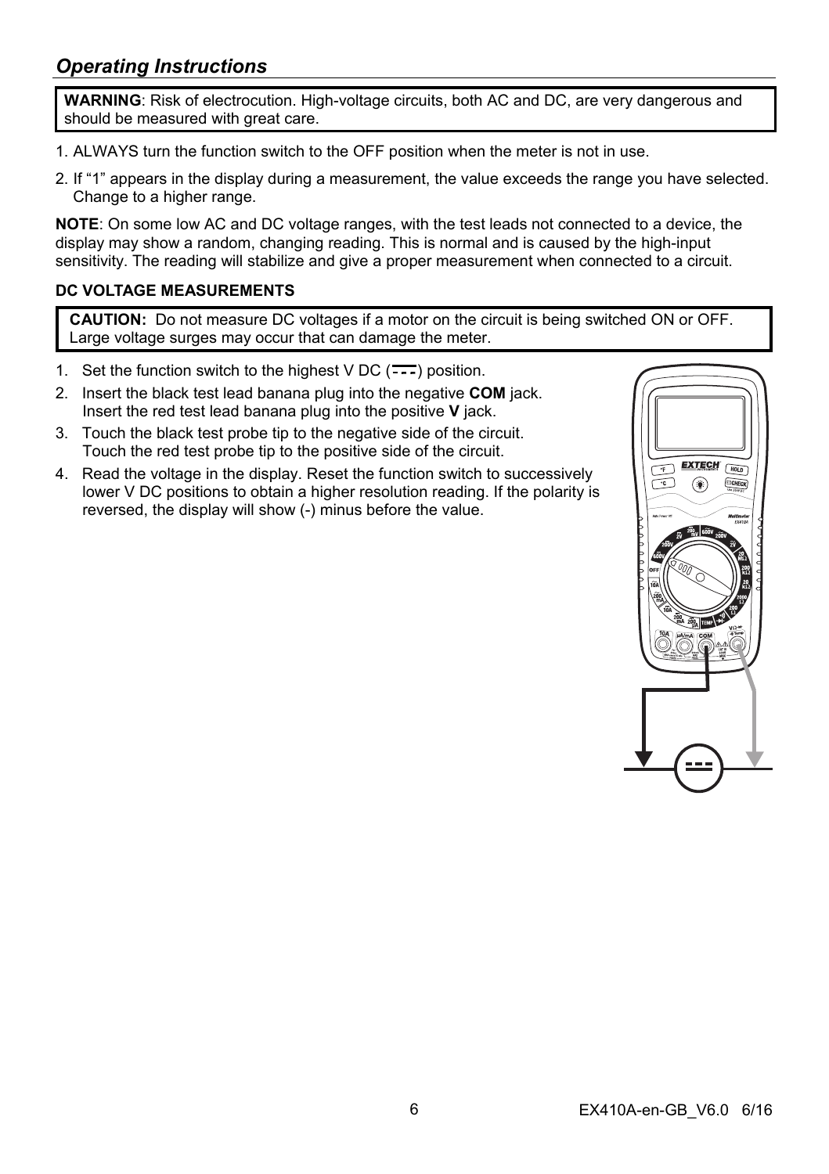## *Operating Instructions*

**WARNING**: Risk of electrocution. High-voltage circuits, both AC and DC, are very dangerous and should be measured with great care.

- 1. ALWAYS turn the function switch to the OFF position when the meter is not in use.
- 2. If "1" appears in the display during a measurement, the value exceeds the range you have selected. Change to a higher range.

**NOTE**: On some low AC and DC voltage ranges, with the test leads not connected to a device, the display may show a random, changing reading. This is normal and is caused by the high-input sensitivity. The reading will stabilize and give a proper measurement when connected to a circuit.

### **DC VOLTAGE MEASUREMENTS**

**CAUTION:** Do not measure DC voltages if a motor on the circuit is being switched ON or OFF. Large voltage surges may occur that can damage the meter.

- 1. Set the function switch to the highest  $VDC$  ( $\overline{\cdots}$ ) position.
- 2. Insert the black test lead banana plug into the negative **COM** jack. Insert the red test lead banana plug into the positive **V** jack.
- 3. Touch the black test probe tip to the negative side of the circuit. Touch the red test probe tip to the positive side of the circuit.
- 4. Read the voltage in the display. Reset the function switch to successively lower V DC positions to obtain a higher resolution reading. If the polarity is reversed, the display will show (-) minus before the value.

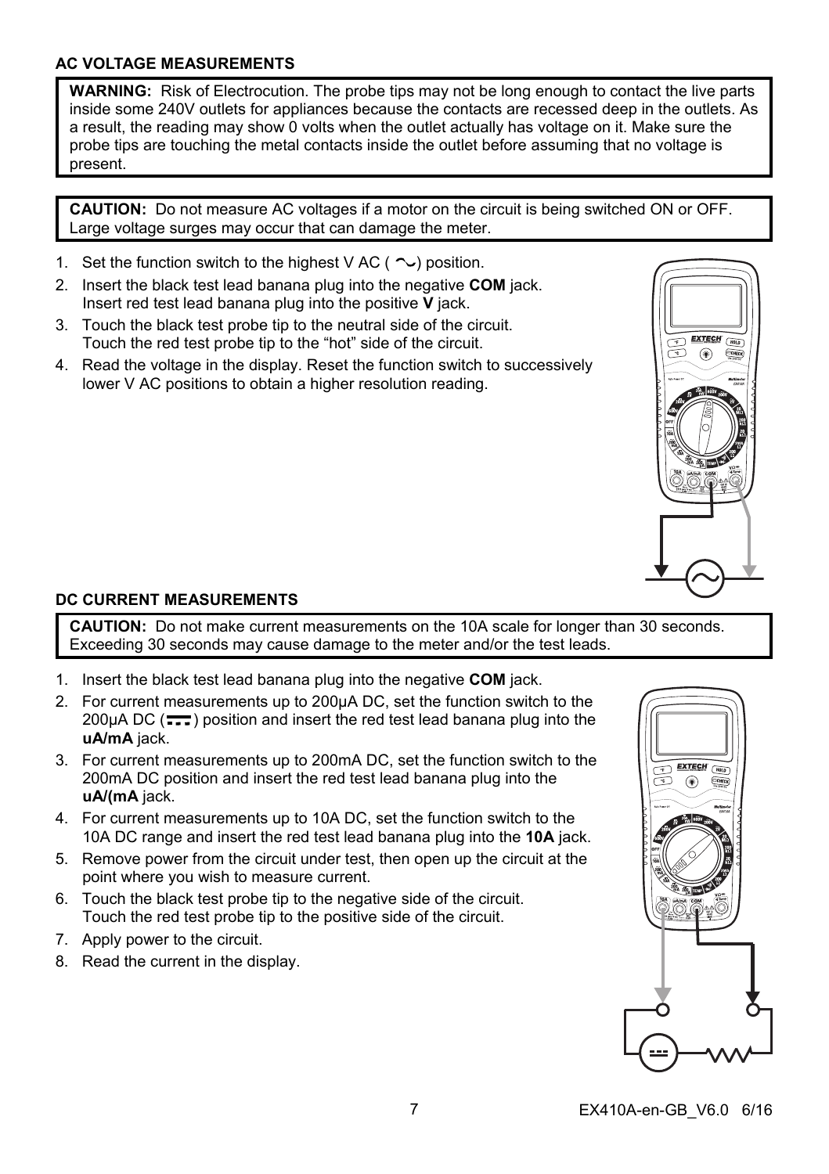## **AC VOLTAGE MEASUREMENTS**

**WARNING:** Risk of Electrocution. The probe tips may not be long enough to contact the live parts inside some 240V outlets for appliances because the contacts are recessed deep in the outlets. As a result, the reading may show 0 volts when the outlet actually has voltage on it. Make sure the probe tips are touching the metal contacts inside the outlet before assuming that no voltage is present.

**CAUTION:** Do not measure AC voltages if a motor on the circuit is being switched ON or OFF. Large voltage surges may occur that can damage the meter.

- 1. Set the function switch to the highest V AC ( $\sim$ ) position.
- 2. Insert the black test lead banana plug into the negative **COM** jack. Insert red test lead banana plug into the positive **V** jack.
- 3. Touch the black test probe tip to the neutral side of the circuit. Touch the red test probe tip to the "hot" side of the circuit.
- 4. Read the voltage in the display. Reset the function switch to successively lower V AC positions to obtain a higher resolution reading.



## **DC CURRENT MEASUREMENTS**

**CAUTION:** Do not make current measurements on the 10A scale for longer than 30 seconds. Exceeding 30 seconds may cause damage to the meter and/or the test leads.

- 1. Insert the black test lead banana plug into the negative **COM** jack.
- 2. For current measurements up to 200µA DC, set the function switch to the 200 $\mu$ A DC ( $\frac{1}{\pi}$ ) position and insert the red test lead banana plug into the **uA/mA** jack.
- 3. For current measurements up to 200mA DC, set the function switch to the 200mA DC position and insert the red test lead banana plug into the **uA/(mA** jack.
- 4. For current measurements up to 10A DC, set the function switch to the 10A DC range and insert the red test lead banana plug into the **10A** jack.
- 5. Remove power from the circuit under test, then open up the circuit at the point where you wish to measure current.
- 6. Touch the black test probe tip to the negative side of the circuit. Touch the red test probe tip to the positive side of the circuit.
- 7. Apply power to the circuit.
- 8. Read the current in the display.

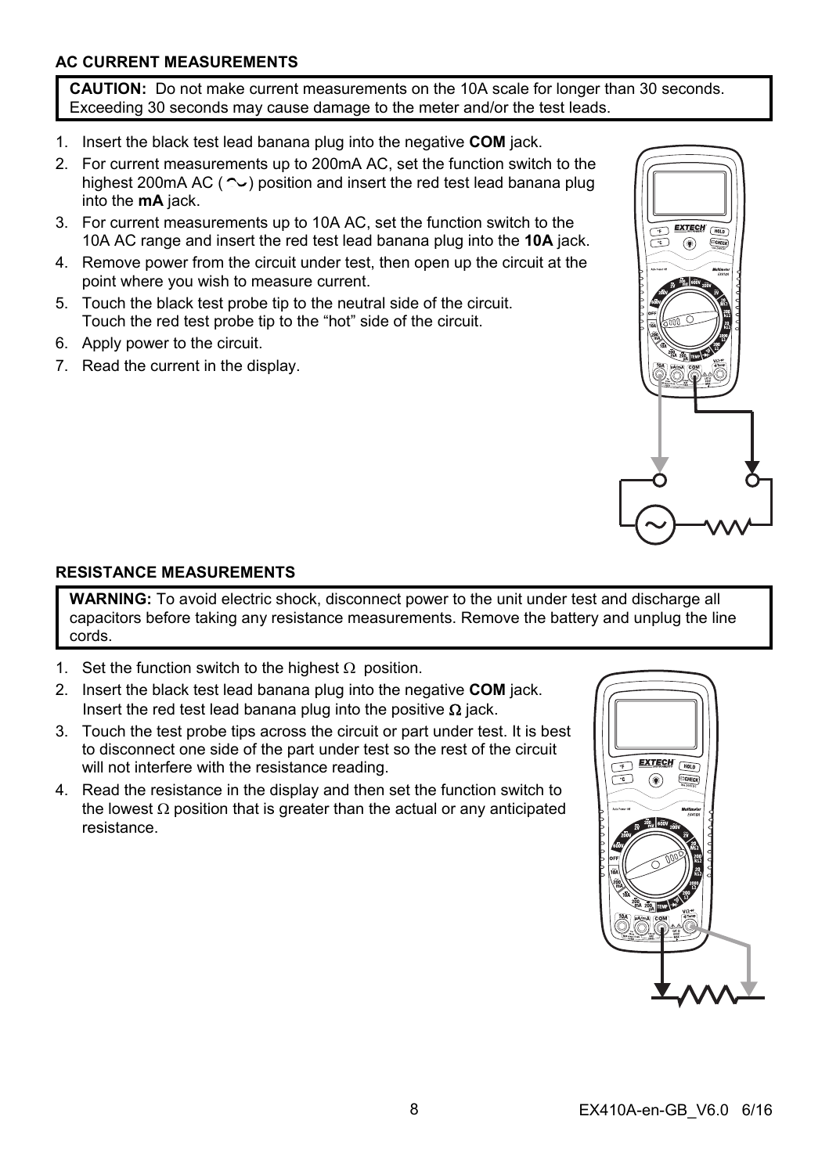## **AC CURRENT MEASUREMENTS**

**CAUTION:** Do not make current measurements on the 10A scale for longer than 30 seconds. Exceeding 30 seconds may cause damage to the meter and/or the test leads.

- 1. Insert the black test lead banana plug into the negative **COM** jack.
- 2. For current measurements up to 200mA AC, set the function switch to the highest 200mA AC ( $\sim$ ) position and insert the red test lead banana plug into the **mA** jack.
- 3. For current measurements up to 10A AC, set the function switch to the 10A AC range and insert the red test lead banana plug into the **10A** jack.
- 4. Remove power from the circuit under test, then open up the circuit at the point where you wish to measure current.
- 5. Touch the black test probe tip to the neutral side of the circuit. Touch the red test probe tip to the "hot" side of the circuit.
- 6. Apply power to the circuit.
- 7. Read the current in the display.



## **RESISTANCE MEASUREMENTS**

**WARNING:** To avoid electric shock, disconnect power to the unit under test and discharge all capacitors before taking any resistance measurements. Remove the battery and unplug the line cords.

- 1. Set the function switch to the highest  $\Omega$  position.
- 2. Insert the black test lead banana plug into the negative **COM** jack. Insert the red test lead banana plug into the positive  $\Omega$  jack.
- 3. Touch the test probe tips across the circuit or part under test. It is best to disconnect one side of the part under test so the rest of the circuit will not interfere with the resistance reading.
- 4. Read the resistance in the display and then set the function switch to the lowest  $\Omega$  position that is greater than the actual or any anticipated resistance.

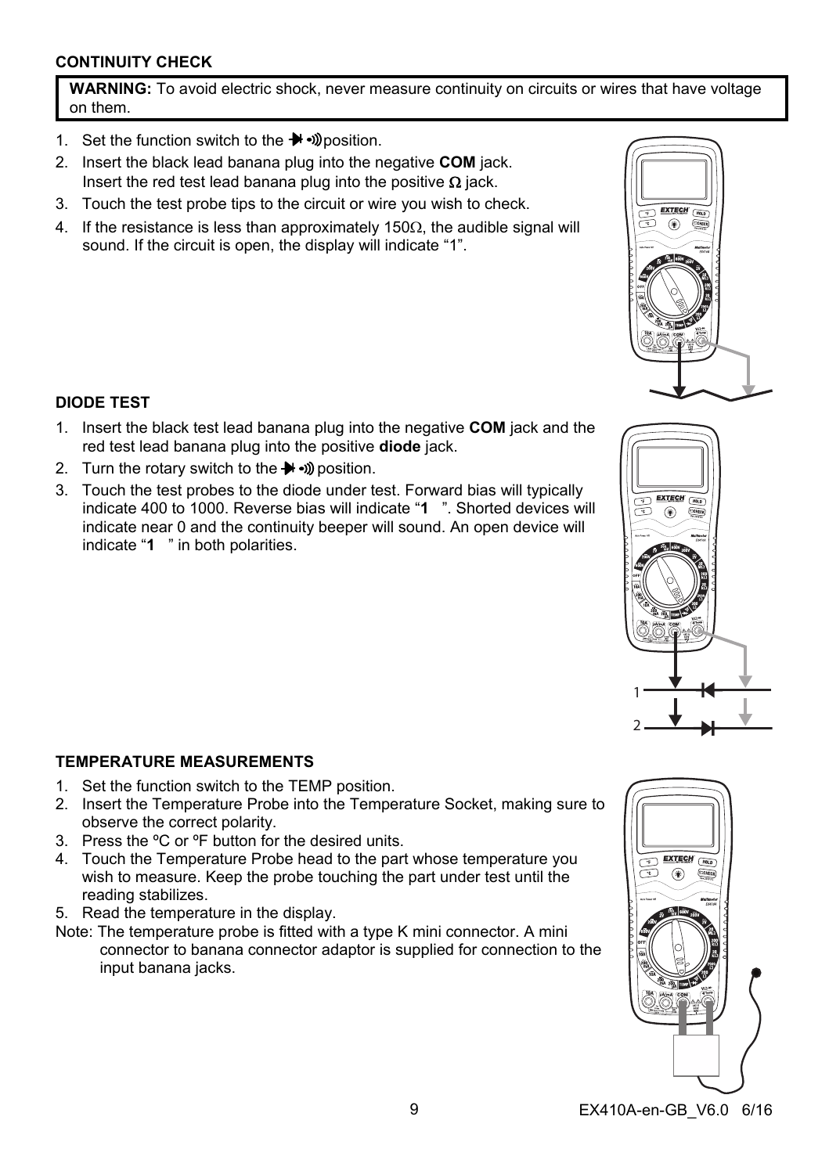## **CONTINUITY CHECK**

**WARNING:** To avoid electric shock, never measure continuity on circuits or wires that have voltage on them.

- 1. Set the function switch to the  $\blacktriangleright$   $\blacktriangleright$   $\bowtie$  position.
- 2. Insert the black lead banana plug into the negative **COM** jack. Insert the red test lead banana plug into the positive  $\Omega$  jack.
- 3. Touch the test probe tips to the circuit or wire you wish to check.
- 4. If the resistance is less than approximately 150 $\Omega$ , the audible signal will sound. If the circuit is open, the display will indicate "1".

## **DIODE TEST**

- 1. Insert the black test lead banana plug into the negative **COM** jack and the red test lead banana plug into the positive **diode** jack.
- 2. Turn the rotary switch to the  $\blacktriangleright$   $\blacktriangleright$   $\bowtie$  position.
- 3. Touch the test probes to the diode under test. Forward bias will typically indicate 400 to 1000. Reverse bias will indicate "**1** ". Shorted devices will indicate near 0 and the continuity beeper will sound. An open device will indicate "**1** " in both polarities.

## **TEMPERATURE MEASUREMENTS**

- 1. Set the function switch to the TEMP position.
- 2. Insert the Temperature Probe into the Temperature Socket, making sure to observe the correct polarity.
- 3. Press the ºC or ºF button for the desired units.
- 4. Touch the Temperature Probe head to the part whose temperature you wish to measure. Keep the probe touching the part under test until the reading stabilizes.
- 5. Read the temperature in the display.
- Note: The temperature probe is fitted with a type K mini connector. A mini connector to banana connector adaptor is supplied for connection to the input banana jacks.









1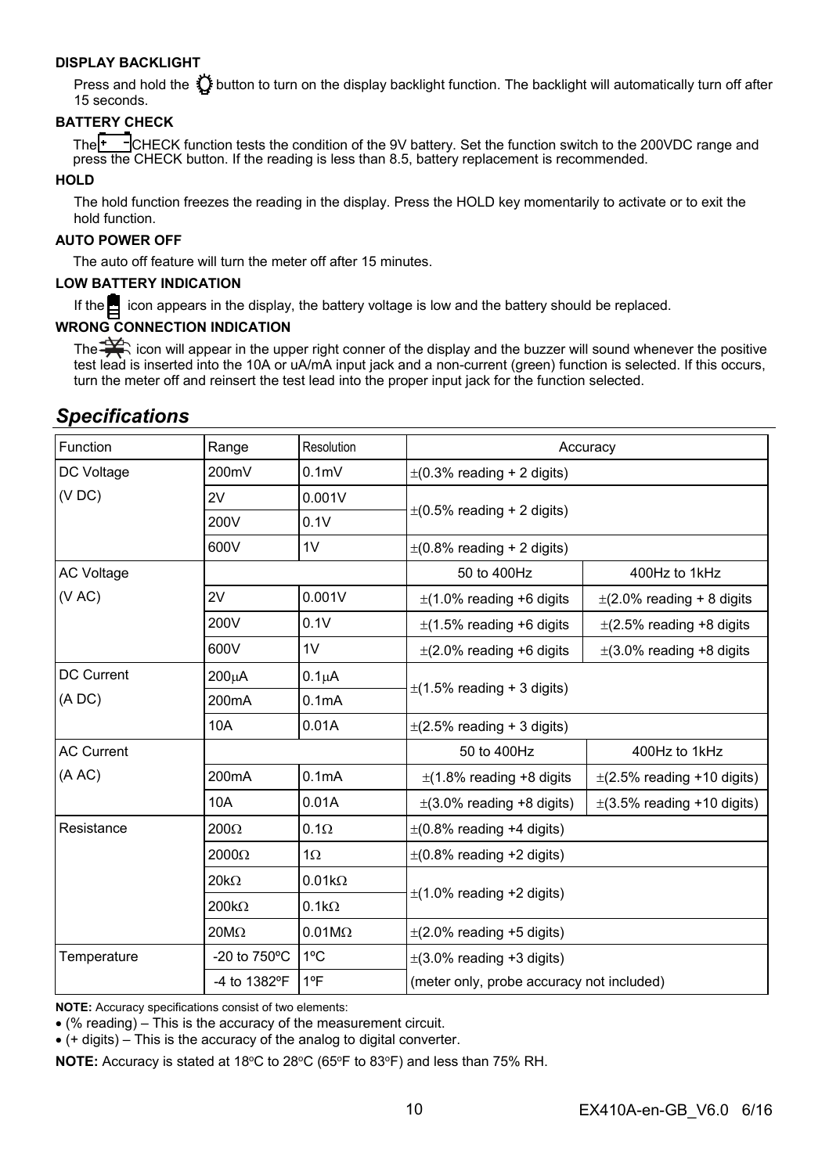#### **DISPLAY BACKLIGHT**

Press and hold the  $\ddot{\Omega}$  button to turn on the display backlight function. The backlight will automatically turn off after 15 seconds.

#### **BATTERY CHECK**

The<sup>TT-T</sup>CHECK function tests the condition of the 9V battery. Set the function switch to the 200VDC range and press the CHECK button. If the reading is less than 8.5, battery replacement is recommended.

#### **HOLD**

The hold function freezes the reading in the display. Press the HOLD key momentarily to activate or to exit the hold function.

#### **AUTO POWER OFF**

The auto off feature will turn the meter off after 15 minutes.

#### **LOW BATTERY INDICATION**

If the  $\blacksquare$  icon appears in the display, the battery voltage is low and the battery should be replaced.

#### **WRONG CONNECTION INDICATION**

The  $\Rightarrow$  icon will appear in the upper right conner of the display and the buzzer will sound whenever the positive test lead is inserted into the 10A or uA/mA input jack and a non-current (green) function is selected. If this occurs, turn the meter off and reinsert the test lead into the proper input jack for the function selected.

## *Specifications*

| Function          | Range                  | Resolution         | Accuracy                                  |                                 |
|-------------------|------------------------|--------------------|-------------------------------------------|---------------------------------|
| DC Voltage        | 200mV                  | 0.1 <sub>m</sub>   | $\pm$ (0.3% reading + 2 digits)           |                                 |
| (VDC)             | 2V                     | 0.001V             | $\pm$ (0.5% reading + 2 digits)           |                                 |
|                   | 200V                   | 0.1V               |                                           |                                 |
|                   | 600V                   | 1V                 | $\pm$ (0.8% reading + 2 digits)           |                                 |
| <b>AC Voltage</b> |                        |                    | 50 to 400Hz                               | 400Hz to 1kHz                   |
| (VAC)             | 2V                     | 0.001V             | $\pm$ (1.0% reading +6 digits             | $\pm$ (2.0% reading + 8 digits  |
|                   | 200V                   | 0.1V               | $\pm$ (1.5% reading +6 digits             | $\pm$ (2.5% reading +8 digits   |
|                   | 600V                   | 1V                 | $\pm$ (2.0% reading +6 digits             | $\pm$ (3.0% reading +8 digits   |
| DC Current        | 200µA                  | 0.1 <sub>µ</sub> A | $\pm$ (1.5% reading + 3 digits)           |                                 |
| (ADC)             | 200 <sub>m</sub> A     | 0.1 <sub>m</sub> A |                                           |                                 |
|                   | 10A                    | 0.01A              | $\pm$ (2.5% reading + 3 digits)           |                                 |
| <b>AC Current</b> |                        |                    | 50 to 400Hz                               | 400Hz to 1kHz                   |
| (A AC)            | 200 <sub>m</sub> A     | 0.1 <sub>m</sub> A | $\pm$ (1.8% reading +8 digits             | $\pm$ (2.5% reading +10 digits) |
|                   | 10A                    | 0.01A              | $\pm$ (3.0% reading +8 digits)            | $\pm$ (3.5% reading +10 digits) |
| Resistance        | $200\Omega$            | $0.1\Omega$        | $\pm$ (0.8% reading +4 digits)            |                                 |
|                   | $2000\Omega$           | $1\Omega$          | $\pm$ (0.8% reading +2 digits)            |                                 |
|                   | $20k\Omega$            | $0.01k\Omega$      | $\pm$ (1.0% reading +2 digits)            |                                 |
|                   | $200k\Omega$           | $0.1k\Omega$       |                                           |                                 |
|                   | $20M\Omega$            | $0.01M\Omega$      | $\pm$ (2.0% reading +5 digits)            |                                 |
| Temperature       | -20 to $750^{\circ}$ C | $1^{\circ}$ C      | $\pm$ (3.0% reading +3 digits)            |                                 |
|                   | -4 to 1382°F           | 1ºF                | (meter only, probe accuracy not included) |                                 |

**NOTE:** Accuracy specifications consist of two elements:

(% reading) – This is the accuracy of the measurement circuit.

(+ digits) – This is the accuracy of the analog to digital converter.

**NOTE:** Accuracy is stated at 18°C to 28°C (65°F to 83°F) and less than 75% RH.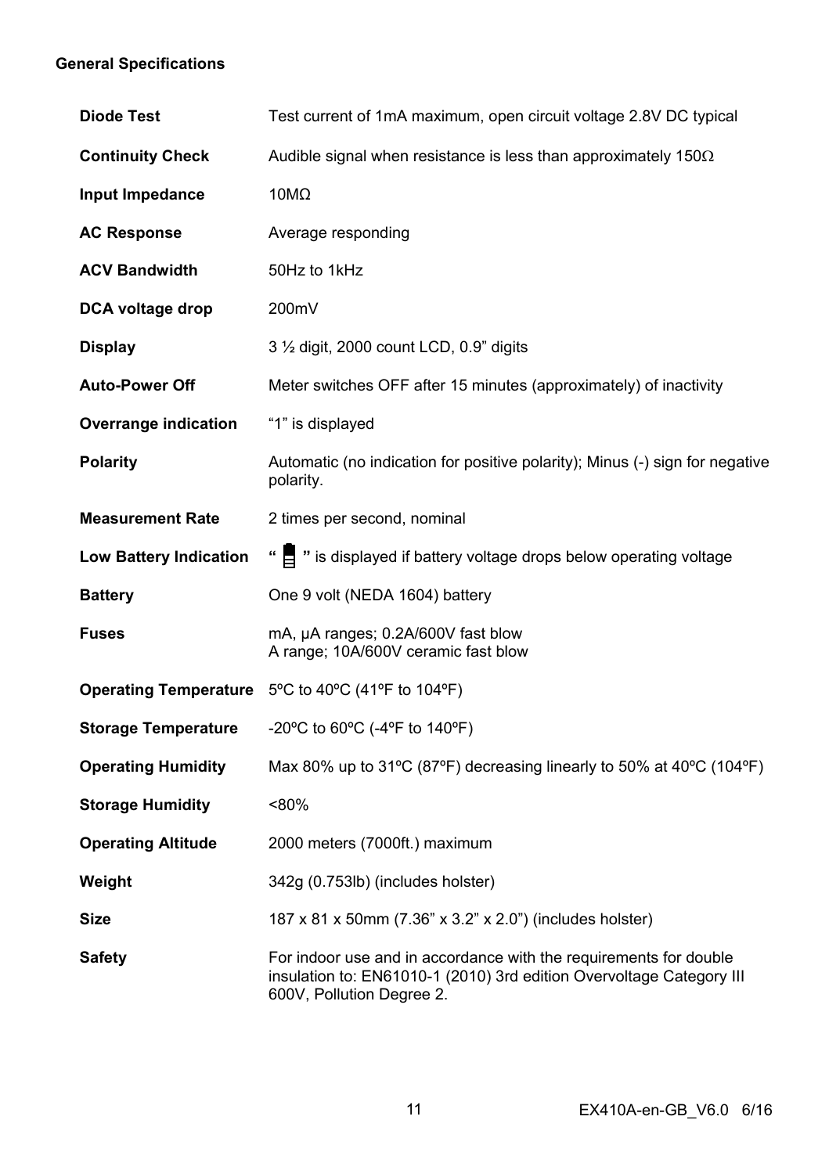## **General Specifications**

| <b>Diode Test</b>             | Test current of 1mA maximum, open circuit voltage 2.8V DC typical                                                                                                      |
|-------------------------------|------------------------------------------------------------------------------------------------------------------------------------------------------------------------|
| <b>Continuity Check</b>       | Audible signal when resistance is less than approximately 150 $\Omega$                                                                                                 |
| Input Impedance               | $10M\Omega$                                                                                                                                                            |
| <b>AC Response</b>            | Average responding                                                                                                                                                     |
| <b>ACV Bandwidth</b>          | 50Hz to 1kHz                                                                                                                                                           |
| DCA voltage drop              | 200mV                                                                                                                                                                  |
| Display                       | 3 1/2 digit, 2000 count LCD, 0.9" digits                                                                                                                               |
| <b>Auto-Power Off</b>         | Meter switches OFF after 15 minutes (approximately) of inactivity                                                                                                      |
| Overrange indication          | "1" is displayed                                                                                                                                                       |
| <b>Polarity</b>               | Automatic (no indication for positive polarity); Minus (-) sign for negative<br>polarity.                                                                              |
| <b>Measurement Rate</b>       | 2 times per second, nominal                                                                                                                                            |
| <b>Low Battery Indication</b> | " = " is displayed if battery voltage drops below operating voltage                                                                                                    |
| <b>Battery</b>                | One 9 volt (NEDA 1604) battery                                                                                                                                         |
| <b>Fuses</b>                  | mA, µA ranges; 0.2A/600V fast blow<br>A range; 10A/600V ceramic fast blow                                                                                              |
|                               | Operating Temperature 5°C to 40°C (41°F to 104°F)                                                                                                                      |
| <b>Storage Temperature</b>    | -20°C to 60°C (-4°F to 140°F)                                                                                                                                          |
| <b>Operating Humidity</b>     | Max 80% up to 31°C (87°F) decreasing linearly to 50% at 40°C (104°F)                                                                                                   |
| <b>Storage Humidity</b>       | $< 80\%$                                                                                                                                                               |
| <b>Operating Altitude</b>     | 2000 meters (7000ft.) maximum                                                                                                                                          |
| Weight                        | 342g (0.753lb) (includes holster)                                                                                                                                      |
| Size                          | 187 x 81 x 50mm (7.36" x 3.2" x 2.0") (includes holster)                                                                                                               |
| <b>Safety</b>                 | For indoor use and in accordance with the requirements for double<br>insulation to: EN61010-1 (2010) 3rd edition Overvoltage Category III<br>600V, Pollution Degree 2. |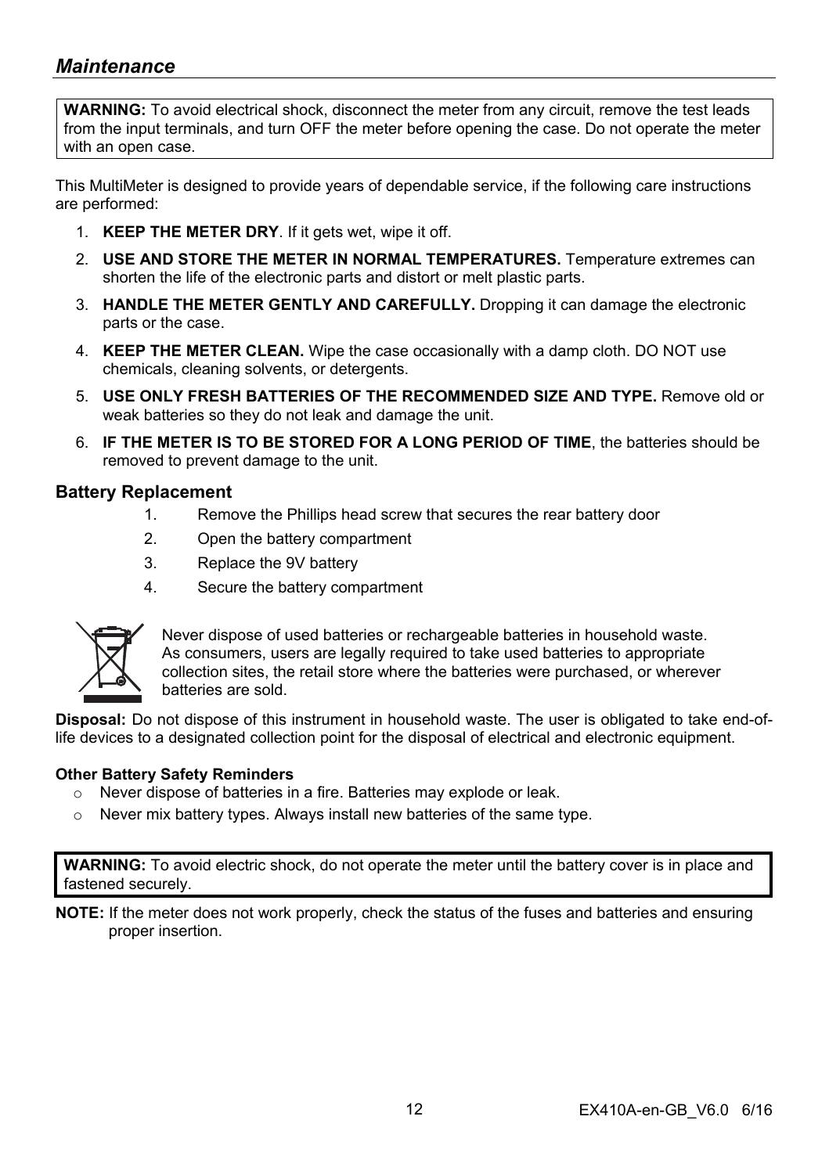## *Maintenance*

**WARNING:** To avoid electrical shock, disconnect the meter from any circuit, remove the test leads from the input terminals, and turn OFF the meter before opening the case. Do not operate the meter with an open case.

This MultiMeter is designed to provide years of dependable service, if the following care instructions are performed:

- 1. **KEEP THE METER DRY**. If it gets wet, wipe it off.
- 2. **USE AND STORE THE METER IN NORMAL TEMPERATURES.** Temperature extremes can shorten the life of the electronic parts and distort or melt plastic parts.
- 3. **HANDLE THE METER GENTLY AND CAREFULLY.** Dropping it can damage the electronic parts or the case.
- 4. **KEEP THE METER CLEAN.** Wipe the case occasionally with a damp cloth. DO NOT use chemicals, cleaning solvents, or detergents.
- 5. **USE ONLY FRESH BATTERIES OF THE RECOMMENDED SIZE AND TYPE.** Remove old or weak batteries so they do not leak and damage the unit.
- 6. **IF THE METER IS TO BE STORED FOR A LONG PERIOD OF TIME**, the batteries should be removed to prevent damage to the unit.

### **Battery Replacement**

- 1. Remove the Phillips head screw that secures the rear battery door
- 2. Open the battery compartment
- 3. Replace the 9V battery
- 4. Secure the battery compartment



Never dispose of used batteries or rechargeable batteries in household waste. As consumers, users are legally required to take used batteries to appropriate collection sites, the retail store where the batteries were purchased, or wherever batteries are sold.

**Disposal:** Do not dispose of this instrument in household waste. The user is obligated to take end-oflife devices to a designated collection point for the disposal of electrical and electronic equipment.

#### **Other Battery Safety Reminders**

- o Never dispose of batteries in a fire. Batteries may explode or leak.
- o Never mix battery types. Always install new batteries of the same type.

**WARNING:** To avoid electric shock, do not operate the meter until the battery cover is in place and fastened securely.

**NOTE:** If the meter does not work properly, check the status of the fuses and batteries and ensuring proper insertion.